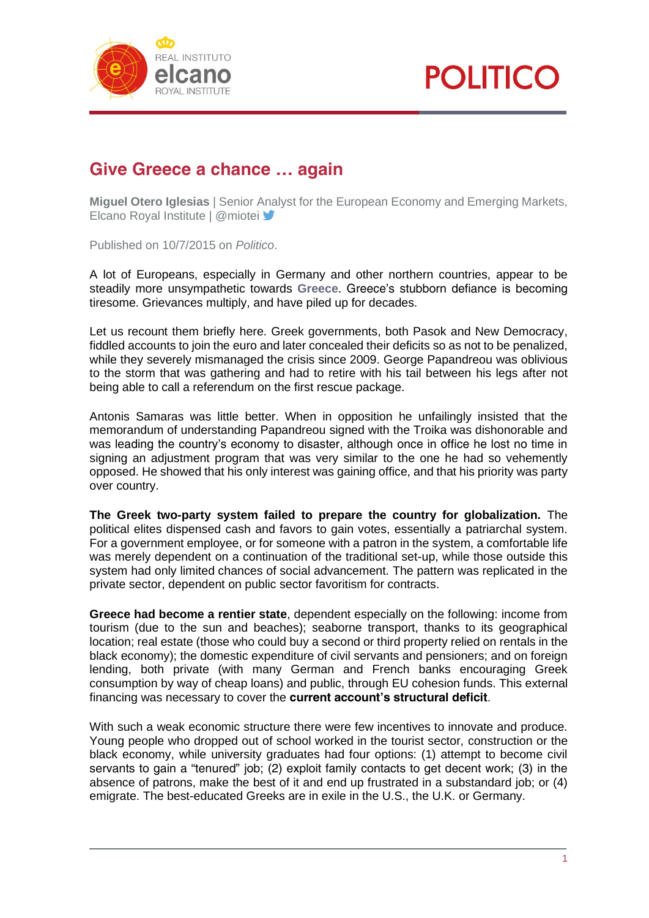



## **Give Greece a chance … again**

**Miguel Otero Iglesias** | Senior Analyst for the European Economy and Emerging Markets, Elcano Royal Institute | @miotei

Published on 10/7/2015 on *Politico*.

A lot of Europeans, especially in Germany and other northern countries, appear to be steadily more unsympathetic towards **[Greece](http://realinstitutoelcano.org/especiales/grecia/)**. Greece's stubborn defiance is becoming tiresome. Grievances multiply, and have piled up for decades.

Let us recount them briefly here. Greek governments, both Pasok and New Democracy, fiddled accounts to join the euro and later concealed their deficits so as not to be penalized, while they severely mismanaged the crisis since 2009. George Papandreou was oblivious to the storm that was gathering and had to retire with his tail between his legs after not being able to call a referendum on the first rescue package.

Antonis Samaras was little better. When in opposition he unfailingly insisted that the memorandum of understanding Papandreou signed with the Troika was dishonorable and was leading the country's economy to disaster, although once in office he lost no time in signing an adjustment program that was very similar to the one he had so vehemently opposed. He showed that his only interest was gaining office, and that his priority was party over country.

**The Greek two-party system failed to prepare the country for globalization.** The political elites dispensed cash and favors to gain votes, essentially a patriarchal system. For a government employee, or for someone with a patron in the system, a comfortable life was merely dependent on a continuation of the traditional set-up, while those outside this system had only limited chances of social advancement. The pattern was replicated in the private sector, dependent on public sector favoritism for contracts.

**Greece had become a rentier state**, dependent especially on the following: income from tourism (due to the sun and beaches); seaborne transport, thanks to its geographical location; real estate (those who could buy a second or third property relied on rentals in the black economy); the domestic expenditure of civil servants and pensioners; and on foreign lending, both private (with many German and French banks encouraging Greek consumption by way of cheap loans) and public, through EU cohesion funds. This external financing was necessary to cover the **current account's structural deficit**.

With such a weak economic structure there were few incentives to innovate and produce. Young people who dropped out of school worked in the tourist sector, construction or the black economy, while university graduates had four options: (1) attempt to become civil servants to gain a "tenured" job; (2) exploit family contacts to get decent work; (3) in the absence of patrons, make the best of it and end up frustrated in a substandard job; or (4) emigrate. The best-educated Greeks are in exile in the U.S., the U.K. or Germany.